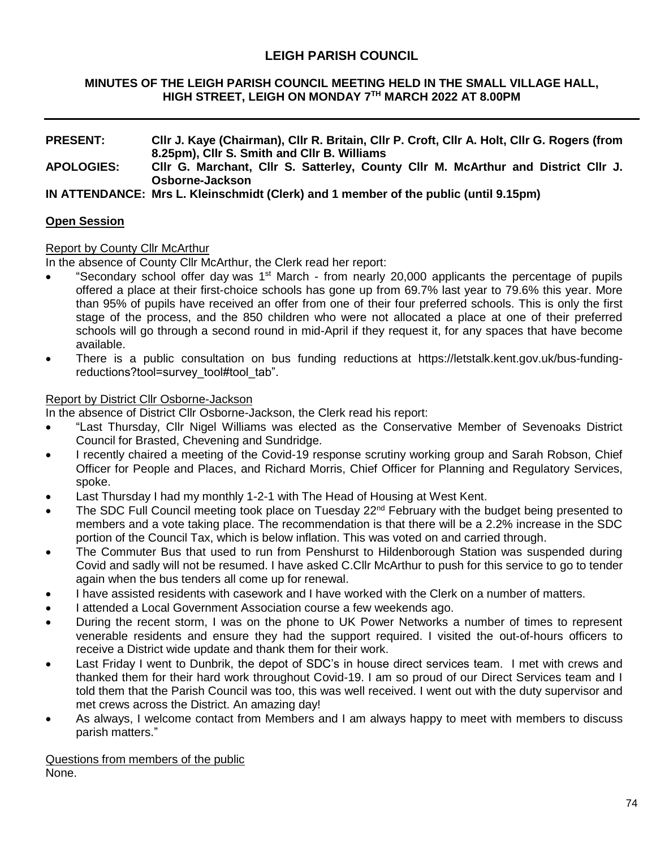# **LEIGH PARISH COUNCIL**

#### **MINUTES OF THE LEIGH PARISH COUNCIL MEETING HELD IN THE SMALL VILLAGE HALL, HIGH STREET, LEIGH ON MONDAY 7 TH MARCH 2022 AT 8.00PM**

#### **PRESENT: Cllr J. Kaye (Chairman), Cllr R. Britain, Cllr P. Croft, Cllr A. Holt, Cllr G. Rogers (from 8.25pm), Cllr S. Smith and Cllr B. Williams APOLOGIES: Cllr G. Marchant, Cllr S. Satterley, County Cllr M. McArthur and District Cllr J. Osborne-Jackson**

**IN ATTENDANCE: Mrs L. Kleinschmidt (Clerk) and 1 member of the public (until 9.15pm)**

## **Open Session**

### Report by County Cllr McArthur

In the absence of County Cllr McArthur, the Clerk read her report:

- "Secondary school offer day was 1<sup>st</sup> March from nearly 20,000 applicants the percentage of pupils offered a place at their first-choice schools has gone up from 69.7% last year to 79.6% this year. More than 95% of pupils have received an offer from one of their four preferred schools. This is only the first stage of the process, and the 850 children who were not allocated a place at one of their preferred schools will go through a second round in mid-April if they request it, for any spaces that have become available.
- There is a public consultation on bus funding reductions at https://letstalk.kent.gov.uk/bus-fundingreductions?tool=survey\_tool#tool\_tab".

### **Report by District Cllr Osborne-Jackson**

In the absence of District Cllr Osborne-Jackson, the Clerk read his report:

- "Last Thursday, Cllr Nigel Williams was elected as the Conservative Member of Sevenoaks District Council for Brasted, Chevening and Sundridge.
- I recently chaired a meeting of the Covid-19 response scrutiny working group and Sarah Robson, Chief Officer for People and Places, and Richard Morris, Chief Officer for Planning and Regulatory Services, spoke.
- Last Thursday I had my monthly 1-2-1 with The Head of Housing at West Kent.
- The SDC Full Council meeting took place on Tuesday 22<sup>nd</sup> February with the budget being presented to members and a vote taking place. The recommendation is that there will be a 2.2% increase in the SDC portion of the Council Tax, which is below inflation. This was voted on and carried through.
- The Commuter Bus that used to run from Penshurst to Hildenborough Station was suspended during Covid and sadly will not be resumed. I have asked C.Cllr McArthur to push for this service to go to tender again when the bus tenders all come up for renewal.
- I have assisted residents with casework and I have worked with the Clerk on a number of matters.
- I attended a Local Government Association course a few weekends ago.
- During the recent storm, I was on the phone to UK Power Networks a number of times to represent venerable residents and ensure they had the support required. I visited the out-of-hours officers to receive a District wide update and thank them for their work.
- Last Friday I went to Dunbrik, the depot of SDC's in house direct services team. I met with crews and thanked them for their hard work throughout Covid-19. I am so proud of our Direct Services team and I told them that the Parish Council was too, this was well received. I went out with the duty supervisor and met crews across the District. An amazing day!
- As always, I welcome contact from Members and I am always happy to meet with members to discuss parish matters."

Questions from members of the public None.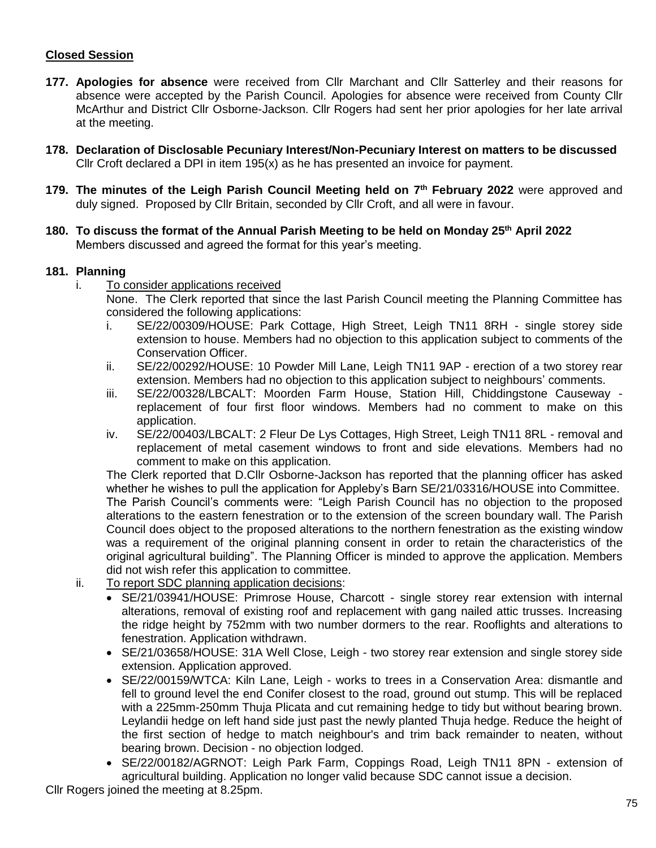## **Closed Session**

- **177. Apologies for absence** were received from Cllr Marchant and Cllr Satterley and their reasons for absence were accepted by the Parish Council. Apologies for absence were received from County Cllr McArthur and District Cllr Osborne-Jackson. Cllr Rogers had sent her prior apologies for her late arrival at the meeting.
- **178. Declaration of Disclosable Pecuniary Interest/Non-Pecuniary Interest on matters to be discussed** Cllr Croft declared a DPI in item  $195(x)$  as he has presented an invoice for payment.
- **179. The minutes of the Leigh Parish Council Meeting held on 7 th February 2022** were approved and duly signed. Proposed by Cllr Britain, seconded by Cllr Croft, and all were in favour.
- **180. To discuss the format of the Annual Parish Meeting to be held on Monday 25th April 2022** Members discussed and agreed the format for this year's meeting.

### **181. Planning**

- i. To consider applications received None. The Clerk reported that since the last Parish Council meeting the Planning Committee has considered the following applications:
	- i. SE/22/00309/HOUSE: Park Cottage, High Street, Leigh TN11 8RH single storey side extension to house. Members had no objection to this application subject to comments of the Conservation Officer.
	- ii. SE/22/00292/HOUSE: 10 Powder Mill Lane, Leigh TN11 9AP erection of a two storey rear extension. Members had no objection to this application subject to neighbours' comments.
	- iii. SE/22/00328/LBCALT: Moorden Farm House, Station Hill, Chiddingstone Causeway replacement of four first floor windows. Members had no comment to make on this application.
	- iv. SE/22/00403/LBCALT: 2 Fleur De Lys Cottages, High Street, Leigh TN11 8RL removal and replacement of metal casement windows to front and side elevations. Members had no comment to make on this application.

The Clerk reported that D.Cllr Osborne-Jackson has reported that the planning officer has asked whether he wishes to pull the application for Appleby's Barn SE/21/03316/HOUSE into Committee. The Parish Council's comments were: "Leigh Parish Council has no objection to the proposed alterations to the eastern fenestration or to the extension of the screen boundary wall. The Parish Council does object to the proposed alterations to the northern fenestration as the existing window was a requirement of the original planning consent in order to retain the characteristics of the original agricultural building". The Planning Officer is minded to approve the application. Members did not wish refer this application to committee.

- ii. To report SDC planning application decisions:
	- SE/21/03941/HOUSE: Primrose House, Charcott single storey rear extension with internal alterations, removal of existing roof and replacement with gang nailed attic trusses. Increasing the ridge height by 752mm with two number dormers to the rear. Rooflights and alterations to fenestration. Application withdrawn.
	- SE/21/03658/HOUSE: 31A Well Close, Leigh two storey rear extension and single storey side extension. Application approved.
	- SE/22/00159/WTCA: Kiln Lane, Leigh works to trees in a Conservation Area: dismantle and fell to ground level the end Conifer closest to the road, ground out stump. This will be replaced with a 225mm-250mm Thuja Plicata and cut remaining hedge to tidy but without bearing brown. Leylandii hedge on left hand side just past the newly planted Thuja hedge. Reduce the height of the first section of hedge to match neighbour's and trim back remainder to neaten, without bearing brown. Decision - no objection lodged.
	- SE/22/00182/AGRNOT: Leigh Park Farm, Coppings Road, Leigh TN11 8PN extension of agricultural building. Application no longer valid because SDC cannot issue a decision.

Cllr Rogers joined the meeting at 8.25pm.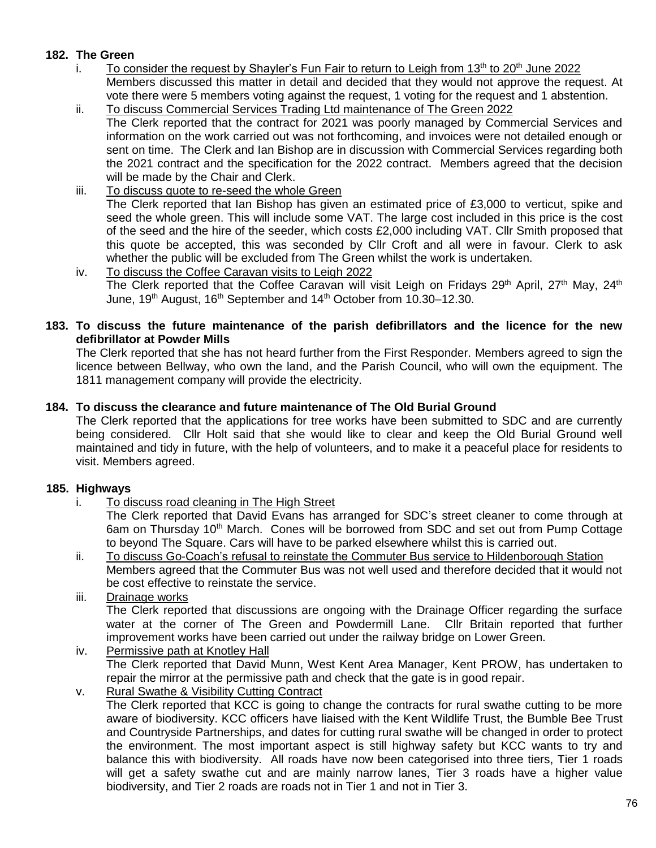# **182. The Green**

- i. To consider the request by Shayler's Fun Fair to return to Leigh from  $13<sup>th</sup>$  to  $20<sup>th</sup>$  June 2022 Members discussed this matter in detail and decided that they would not approve the request. At vote there were 5 members voting against the request, 1 voting for the request and 1 abstention.
- ii. To discuss Commercial Services Trading Ltd maintenance of The Green 2022 The Clerk reported that the contract for 2021 was poorly managed by Commercial Services and information on the work carried out was not forthcoming, and invoices were not detailed enough or sent on time. The Clerk and Ian Bishop are in discussion with Commercial Services regarding both the 2021 contract and the specification for the 2022 contract. Members agreed that the decision will be made by the Chair and Clerk.
- iii. To discuss quote to re-seed the whole Green The Clerk reported that Ian Bishop has given an estimated price of £3,000 to verticut, spike and seed the whole green. This will include some VAT. The large cost included in this price is the cost of the seed and the hire of the seeder, which costs £2,000 including VAT. Cllr Smith proposed that this quote be accepted, this was seconded by Cllr Croft and all were in favour. Clerk to ask whether the public will be excluded from The Green whilst the work is undertaken.
- iv. To discuss the Coffee Caravan visits to Leigh 2022 The Clerk reported that the Coffee Caravan will visit Leigh on Fridavs 29<sup>th</sup> April, 27<sup>th</sup> Mav. 24<sup>th</sup> June, 19<sup>th</sup> August, 16<sup>th</sup> September and 14<sup>th</sup> October from 10.30–12.30.

### **183. To discuss the future maintenance of the parish defibrillators and the licence for the new defibrillator at Powder Mills**

The Clerk reported that she has not heard further from the First Responder. Members agreed to sign the licence between Bellway, who own the land, and the Parish Council, who will own the equipment. The 1811 management company will provide the electricity.

# **184. To discuss the clearance and future maintenance of The Old Burial Ground**

The Clerk reported that the applications for tree works have been submitted to SDC and are currently being considered. Cllr Holt said that she would like to clear and keep the Old Burial Ground well maintained and tidy in future, with the help of volunteers, and to make it a peaceful place for residents to visit. Members agreed.

## **185. Highways**

i. To discuss road cleaning in The High Street

The Clerk reported that David Evans has arranged for SDC's street cleaner to come through at 6am on Thursday 10<sup>th</sup> March. Cones will be borrowed from SDC and set out from Pump Cottage to beyond The Square. Cars will have to be parked elsewhere whilst this is carried out.

- ii. To discuss Go-Coach's refusal to reinstate the Commuter Bus service to Hildenborough Station Members agreed that the Commuter Bus was not well used and therefore decided that it would not be cost effective to reinstate the service.
- iii. Drainage works The Clerk reported that discussions are ongoing with the Drainage Officer regarding the surface water at the corner of The Green and Powdermill Lane. Cllr Britain reported that further improvement works have been carried out under the railway bridge on Lower Green.
- iv. Permissive path at Knotley Hall The Clerk reported that David Munn, West Kent Area Manager, Kent PROW, has undertaken to repair the mirror at the permissive path and check that the gate is in good repair.
- v. Rural Swathe & Visibility Cutting Contract The Clerk reported that KCC is going to change the contracts for rural swathe cutting to be more aware of biodiversity. KCC officers have liaised with the Kent Wildlife Trust, the Bumble Bee Trust and Countryside Partnerships, and dates for cutting rural swathe will be changed in order to protect the environment. The most important aspect is still highway safety but KCC wants to try and balance this with biodiversity. All roads have now been categorised into three tiers, Tier 1 roads will get a safety swathe cut and are mainly narrow lanes, Tier 3 roads have a higher value biodiversity, and Tier 2 roads are roads not in Tier 1 and not in Tier 3.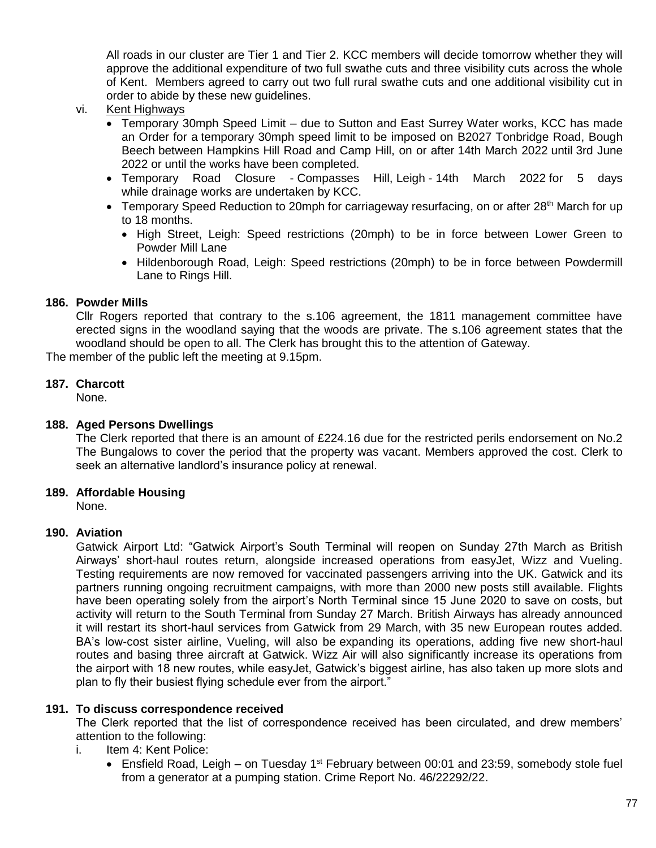All roads in our cluster are Tier 1 and Tier 2. KCC members will decide tomorrow whether they will approve the additional expenditure of two full swathe cuts and three visibility cuts across the whole of Kent. Members agreed to carry out two full rural swathe cuts and one additional visibility cut in order to abide by these new guidelines.

- vi. Kent Highways
	- Temporary 30mph Speed Limit due to Sutton and East Surrey Water works, KCC has made an Order for a temporary 30mph speed limit to be imposed on B2027 Tonbridge Road, Bough Beech between Hampkins Hill Road and Camp Hill, on or after 14th March 2022 until 3rd June 2022 or until the works have been completed.
	- Temporary Road Closure Compasses Hill, Leigh 14th March 2022 for 5 days while drainage works are undertaken by KCC.
	- Temporary Speed Reduction to 20mph for carriageway resurfacing, on or after 28<sup>th</sup> March for up to 18 months.
		- High Street, Leigh: Speed restrictions (20mph) to be in force between Lower Green to Powder Mill Lane
		- Hildenborough Road, Leigh: Speed restrictions (20mph) to be in force between Powdermill Lane to Rings Hill.

## **186. Powder Mills**

Cllr Rogers reported that contrary to the s.106 agreement, the 1811 management committee have erected signs in the woodland saying that the woods are private. The s.106 agreement states that the woodland should be open to all. The Clerk has brought this to the attention of Gateway.

The member of the public left the meeting at 9.15pm.

### **187. Charcott**

None.

#### **188. Aged Persons Dwellings**

The Clerk reported that there is an amount of £224.16 due for the restricted perils endorsement on No.2 The Bungalows to cover the period that the property was vacant. Members approved the cost. Clerk to seek an alternative landlord's insurance policy at renewal.

### **189. Affordable Housing**

None.

### **190. Aviation**

Gatwick Airport Ltd: "Gatwick Airport's South Terminal will reopen on Sunday 27th March as British Airways' short-haul routes return, alongside increased operations from easyJet, Wizz and Vueling. Testing requirements are now removed for vaccinated passengers arriving into the UK. Gatwick and its partners running ongoing recruitment campaigns, with more than 2000 new posts still available. Flights have been operating solely from the airport's North Terminal since 15 June 2020 to save on costs, but activity will return to the South Terminal from Sunday 27 March. British Airways has already announced it will restart its short-haul services from Gatwick from 29 March, with 35 new European routes added. BA's low-cost sister airline, Vueling, will also be expanding its operations, adding five new short-haul routes and basing three aircraft at Gatwick. Wizz Air will also significantly increase its operations from the airport with 18 new routes, while easyJet, Gatwick's biggest airline, has also taken up more slots and plan to fly their busiest flying schedule ever from the airport."

### **191. To discuss correspondence received**

The Clerk reported that the list of correspondence received has been circulated, and drew members' attention to the following:

- i. Item 4: Kent Police:
	- **Ensfield Road, Leigh on Tuesday 1st February between 00:01 and 23:59, somebody stole fuel** from a generator at a pumping station. Crime Report No. 46/22292/22.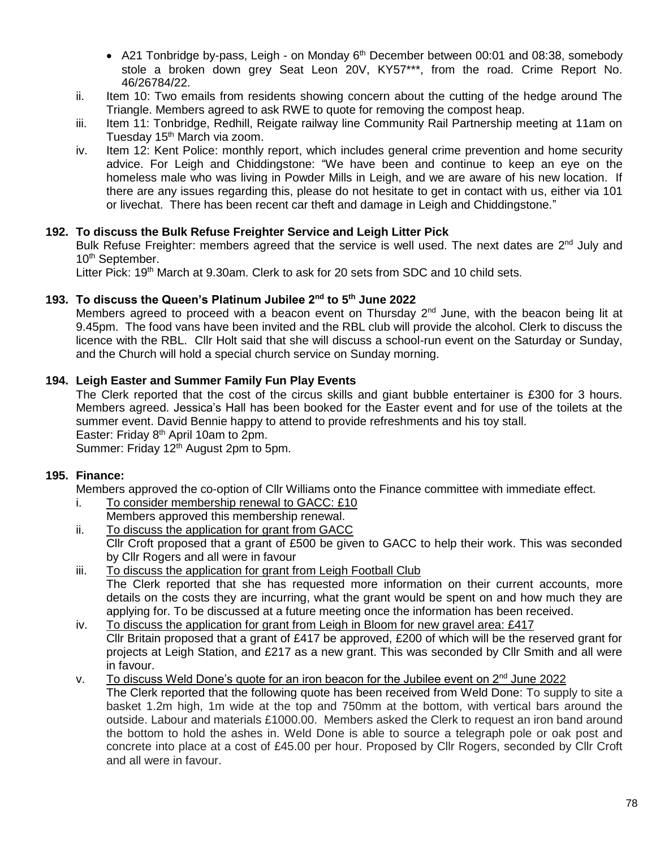- A21 Tonbridge by-pass, Leigh on Monday 6<sup>th</sup> December between 00:01 and 08:38, somebody stole a broken down grey Seat Leon 20V, KY57\*\*\*, from the road. Crime Report No. 46/26784/22.
- ii. Item 10: Two emails from residents showing concern about the cutting of the hedge around The Triangle. Members agreed to ask RWE to quote for removing the compost heap.
- iii. Item 11: Tonbridge, Redhill, Reigate railway line Community Rail Partnership meeting at 11am on Tuesday 15<sup>th</sup> March via zoom.
- iv. Item 12: Kent Police: monthly report, which includes general crime prevention and home security advice. For Leigh and Chiddingstone: "We have been and continue to keep an eye on the homeless male who was living in Powder Mills in Leigh, and we are aware of his new location. If there are any issues regarding this, please do not hesitate to get in contact with us, either via 101 or livechat. There has been recent car theft and damage in Leigh and Chiddingstone."

## **192. To discuss the Bulk Refuse Freighter Service and Leigh Litter Pick**

Bulk Refuse Freighter: members agreed that the service is well used. The next dates are 2<sup>nd</sup> July and 10<sup>th</sup> September.

Litter Pick: 19<sup>th</sup> March at 9.30am. Clerk to ask for 20 sets from SDC and 10 child sets.

### **193. To discuss the Queen's Platinum Jubilee 2nd to 5th June 2022**

Members agreed to proceed with a beacon event on Thursday  $2^{nd}$  June, with the beacon being lit at 9.45pm. The food vans have been invited and the RBL club will provide the alcohol. Clerk to discuss the licence with the RBL. Cllr Holt said that she will discuss a school-run event on the Saturday or Sunday, and the Church will hold a special church service on Sunday morning.

### **194. Leigh Easter and Summer Family Fun Play Events**

The Clerk reported that the cost of the circus skills and giant bubble entertainer is £300 for 3 hours. Members agreed. Jessica's Hall has been booked for the Easter event and for use of the toilets at the summer event. David Bennie happy to attend to provide refreshments and his toy stall. Easter: Friday 8<sup>th</sup> April 10am to 2pm.

Summer: Friday 12<sup>th</sup> August 2pm to 5pm.

### **195. Finance:**

Members approved the co-option of Cllr Williams onto the Finance committee with immediate effect.

- i. To consider membership renewal to GACC: £10
	- Members approved this membership renewal.
- ii. To discuss the application for grant from GACC Cllr Croft proposed that a grant of £500 be given to GACC to help their work. This was seconded by Cllr Rogers and all were in favour
- iii. To discuss the application for grant from Leigh Football Club The Clerk reported that she has requested more information on their current accounts, more details on the costs they are incurring, what the grant would be spent on and how much they are applying for. To be discussed at a future meeting once the information has been received.
- iv. To discuss the application for grant from Leigh in Bloom for new gravel area:  $£417$ Cllr Britain proposed that a grant of £417 be approved, £200 of which will be the reserved grant for projects at Leigh Station, and £217 as a new grant. This was seconded by Cllr Smith and all were in favour.
- v. To discuss Weld Done's quote for an iron beacon for the Jubilee event on  $2<sup>nd</sup>$  June 2022 The Clerk reported that the following quote has been received from Weld Done: To supply to site a basket 1.2m high, 1m wide at the top and 750mm at the bottom, with vertical bars around the outside. Labour and materials £1000.00. Members asked the Clerk to request an iron band around the bottom to hold the ashes in. Weld Done is able to source a telegraph pole or oak post and concrete into place at a cost of £45.00 per hour. Proposed by Cllr Rogers, seconded by Cllr Croft and all were in favour.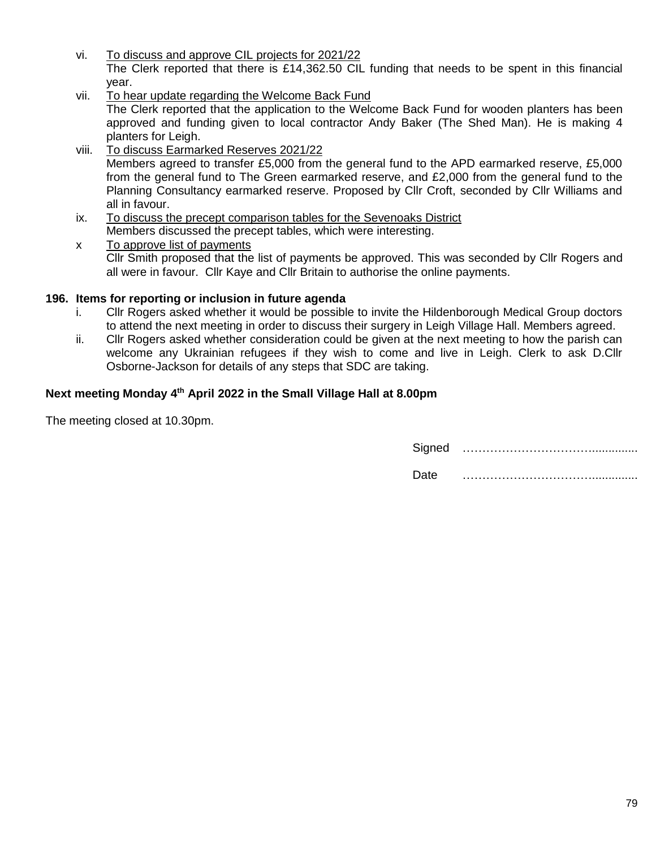- vi. To discuss and approve CIL projects for 2021/22 The Clerk reported that there is £14,362.50 CIL funding that needs to be spent in this financial year.
- vii. To hear update regarding the Welcome Back Fund The Clerk reported that the application to the Welcome Back Fund for wooden planters has been approved and funding given to local contractor Andy Baker (The Shed Man). He is making 4 planters for Leigh.
- viii. To discuss Earmarked Reserves 2021/22 Members agreed to transfer £5,000 from the general fund to the APD earmarked reserve, £5,000 from the general fund to The Green earmarked reserve, and £2,000 from the general fund to the Planning Consultancy earmarked reserve. Proposed by Cllr Croft, seconded by Cllr Williams and all in favour.
- ix. To discuss the precept comparison tables for the Sevenoaks District Members discussed the precept tables, which were interesting.
- x To approve list of payments Cllr Smith proposed that the list of payments be approved. This was seconded by Cllr Rogers and all were in favour. Cllr Kaye and Cllr Britain to authorise the online payments.

## **196. Items for reporting or inclusion in future agenda**

- i. Cllr Rogers asked whether it would be possible to invite the Hildenborough Medical Group doctors to attend the next meeting in order to discuss their surgery in Leigh Village Hall. Members agreed.
- ii. Cllr Rogers asked whether consideration could be given at the next meeting to how the parish can welcome any Ukrainian refugees if they wish to come and live in Leigh. Clerk to ask D.Cllr Osborne-Jackson for details of any steps that SDC are taking.

## **Next meeting Monday 4 th April 2022 in the Small Village Hall at 8.00pm**

The meeting closed at 10.30pm.

Signed ……………………………..............

Date ……………………………..............